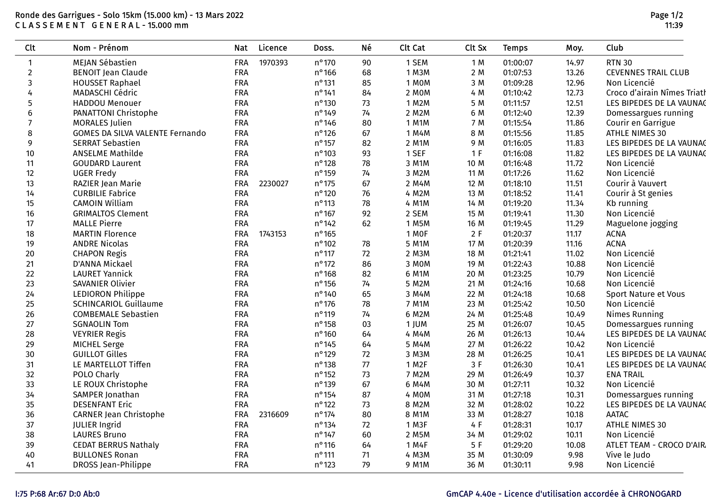## Ronde des Garrigues - Solo 15km (15.000 km) - 13 Mars 2022 C L A S S E M E N T G E N E R A L - 15.000 mm

| <b>Clt</b>       | Nom - Prénom                           | Nat        | Licence | Doss.           | Né   | Clt Cat            | Clt Sx | <b>Temps</b> | Moy.  | Club                        |
|------------------|----------------------------------------|------------|---------|-----------------|------|--------------------|--------|--------------|-------|-----------------------------|
| $\mathbf{1}$     | MEJAN Sébastien                        | FRA        | 1970393 | $n^{\circ}$ 170 | 90   | 1 SEM              | 1 M    | 01:00:07     | 14.97 | <b>RTN 30</b>               |
| $\overline{2}$   | <b>BENOIT Jean Claude</b>              | <b>FRA</b> |         | $n^{\circ}$ 166 | 68   | 1 M3M              | 2 M    | 01:07:53     | 13.26 | <b>CEVENNES TRAIL CLUB</b>  |
| $\mathbf{3}$     | <b>HOUSSET Raphael</b>                 | FRA        |         | $n^{\circ}$ 131 | 85   | 1 MOM              | 3 M    | 01:09:28     | 12.96 | Non Licencié                |
| 4                | <b>MADASCHI Cédric</b>                 | <b>FRA</b> |         | $n^{\circ}$ 141 | 84   | 2 MOM              | 4 M    | 01:10:42     | 12.73 | Croco d'airain Nîmes Triath |
| 5                | <b>HADDOU Menouer</b>                  | FRA        |         | $n^{\circ}$ 130 | 73   | 1 M2M              | 5 M    | 01:11:57     | 12.51 | LES BIPEDES DE LA VAUNAC    |
| $\boldsymbol{6}$ | <b>PANATTONI Christophe</b>            | FRA        |         | nº149           | 74   | 2 M2M              | 6 M    | 01:12:40     | 12.39 | Domessargues running        |
| $\overline{7}$   | <b>MORALES Julien</b>                  | <b>FRA</b> |         | $n^{\circ}$ 146 | 80   | 1 M1M              | 7 M    | 01:15:54     | 11.86 | Courir en Garrigue          |
| 8                | <b>GOMES DA SILVA VALENTE Fernando</b> | FRA        |         | $n^{\circ}$ 126 | 67   | 1 M4M              | 8 M    | 01:15:56     | 11.85 | ATHLE NIMES 30              |
| 9                | <b>SERRAT Sebastien</b>                | <b>FRA</b> |         | $n^{\circ}$ 157 | 82   | 2 M1M              | 9 M    | 01:16:05     | 11.83 | LES BIPEDES DE LA VAUNAC    |
| 10               | <b>ANSELME Mathilde</b>                | <b>FRA</b> |         | $n^{\circ}$ 103 | 93   | 1 SEF              | 1 F    | 01:16:08     | 11.82 | LES BIPEDES DE LA VAUNAC    |
| 11               | <b>GOUDARD Laurent</b>                 | FRA        |         | $n^{\circ}$ 128 | 78   | 3 M1M              | 10 M   | 01:16:48     | 11.72 | Non Licencié                |
| 12               | <b>UGER Fredy</b>                      | <b>FRA</b> |         | $n^{\circ}$ 159 | 74   | 3 M2M              | 11 M   | 01:17:26     | 11.62 | Non Licencié                |
| 13               | RAZIER Jean Marie                      | <b>FRA</b> | 2230027 | $n^{\circ}$ 175 | 67   | 2 M4M              | 12 M   | 01:18:10     | 11.51 | Courir à Vauvert            |
| 14               | <b>CURBILIE Fabrice</b>                | FRA        |         | $n^{\circ}$ 120 | 76   | 4 M2M              | 13 M   | 01:18:52     | 11.41 | Courir à St genies          |
| 15               | <b>CAMOIN William</b>                  | FRA        |         | $n^{\circ}$ 113 | 78   | 4 M1M              | 14 M   | 01:19:20     | 11.34 | Kb running                  |
| 16               | <b>GRIMALTOS Clement</b>               | FRA        |         | $n^{\circ}$ 167 | 92   | 2 SEM              | 15 M   | 01:19:41     | 11.30 | Non Licencié                |
| 17               | <b>MALLE Pierre</b>                    | FRA        |         | $n^{\circ}$ 142 | 62   | 1 M5M              | 16 M   | 01:19:45     | 11.29 | Maguelone jogging           |
| 18               | <b>MARTIN Florence</b>                 | FRA        | 1743153 | $n^{\circ}$ 165 |      | 1 MOF              | 2F     | 01:20:37     | 11.17 | <b>ACNA</b>                 |
| 19               | <b>ANDRE Nicolas</b>                   | FRA        |         | $n^{\circ}$ 102 | 78   | 5 M1M              | 17 M   | 01:20:39     | 11.16 | <b>ACNA</b>                 |
| 20               | <b>CHAPON Regis</b>                    | FRA        |         | $n^{\circ}$ 117 | 72   | 2 M3M              | 18 M   | 01:21:41     | 11.02 | Non Licencié                |
| 21               | D'ANNA Mickael                         | <b>FRA</b> |         | $n^{\circ}$ 172 | 86   | 3 MOM              | 19 M   | 01:22:43     | 10.88 | Non Licencié                |
| 22               | <b>LAURET Yannick</b>                  | FRA        |         | $n^{\circ}$ 168 | 82   | 6 M1M              | 20 M   | 01:23:25     | 10.79 | Non Licencié                |
| 23               | <b>SAVANIER Olivier</b>                | FRA        |         | $n^{\circ}$ 156 | 74   | 5 M2M              | 21 M   | 01:24:16     | 10.68 | Non Licencié                |
| 24               | <b>LEDIORON Philippe</b>               | FRA        |         | $n^{\circ}$ 140 | 65   | 3 M4M              | 22 M   | 01:24:18     | 10.68 | Sport Nature et Vous        |
| 25               | <b>SCHINCARIOL Guillaume</b>           | <b>FRA</b> |         | $n^{\circ}$ 176 | 78   | 7 M1M              | 23 M   | 01:25:42     | 10.50 | Non Licencié                |
| 26               | <b>COMBEMALE Sebastien</b>             | FRA        |         | $n^{\circ}$ 119 | 74   | 6 M2M              | 24 M   | 01:25:48     | 10.49 | <b>Nimes Running</b>        |
| 27               | <b>SGNAOLIN Tom</b>                    | FRA        |         | $n^{\circ}$ 158 | 03   | 1 JUM              | 25 M   | 01:26:07     | 10.45 | Domessargues running        |
| 28               | <b>VEYRIER Regis</b>                   | FRA        |         | $n^{\circ}$ 160 | 64   | 4 M4M              | 26 M   | 01:26:13     | 10.44 | LES BIPEDES DE LA VAUNAC    |
| 29               | MICHEL Serge                           | FRA        |         | $n^{\circ}$ 145 | 64   | 5 M4M              | 27 M   | 01:26:22     | 10.42 | Non Licencié                |
| 30               | <b>GUILLOT Gilles</b>                  | FRA        |         | $n^{\circ}$ 129 | 72   | 3 M3M              | 28 M   | 01:26:25     | 10.41 | LES BIPEDES DE LA VAUNAC    |
| 31               | LE MARTELLOT Tiffen                    | FRA        |         | $n^{\circ}$ 138 | $77$ | 1 M <sub>2</sub> F | 3F     | 01:26:30     | 10.41 | LES BIPEDES DE LA VAUNAC    |
| 32               | POLO Charly                            | FRA        |         | $n^{\circ}$ 152 | 73   | 7 M2M              | 29 M   | 01:26:49     | 10.37 | <b>ENA TRAIL</b>            |
| 33               | LE ROUX Christophe                     | FRA        |         | $n^{\circ}$ 139 | 67   | 6 M4M              | 30 M   | 01:27:11     | 10.32 | Non Licencié                |
| 34               | SAMPER Jonathan                        | <b>FRA</b> |         | $n^{\circ}$ 154 | 87   | 4 MOM              | 31 M   | 01:27:18     | 10.31 | Domessargues running        |
| 35               | <b>DESENFANT Eric</b>                  | FRA        |         | $n^{\circ}$ 122 | 73   | 8 M2M              | 32 M   | 01:28:02     | 10.22 | LES BIPEDES DE LA VAUNAG    |
| 36               | <b>CARNER Jean Christophe</b>          | <b>FRA</b> | 2316609 | $n^{\circ}$ 174 | 80   | 8 M1M              | 33 M   | 01:28:27     | 10.18 | <b>AATAC</b>                |
| 37               | <b>JULIER Ingrid</b>                   | <b>FRA</b> |         | $n^{\circ}$ 134 | 72   | 1 M3F              | 4 F    | 01:28:31     | 10.17 | ATHLE NIMES 30              |
| 38               | <b>LAURES Bruno</b>                    | FRA        |         | $n^{\circ}$ 147 | 60   | 2 M5M              | 34 M   | 01:29:02     | 10.11 | Non Licencié                |
| 39               | <b>CEDAT BERRUS Nathaly</b>            | FRA        |         | $n^{\circ}$ 116 | 64   | 1 M4F              | 5F     | 01:29:20     | 10.08 | ATLET TEAM - CROCO D'AIR    |
| 40               | <b>BULLONES Ronan</b>                  | <b>FRA</b> |         | $n^{\circ}$ 111 | 71   | 4 M3M              | 35 M   | 01:30:09     | 9.98  | Vive le Judo                |
| 41               | DROSS Jean-Philippe                    | <b>FRA</b> |         | $n^{\circ}$ 123 | 79   | 9 M1M              | 36 M   | 01:30:11     | 9.98  | Non Licencié                |

## I:75 P:68 Ar:67 D:0 Ab:0 GmCAP 4.40e - Licence d'utilisation accordée à CHRONOGARD